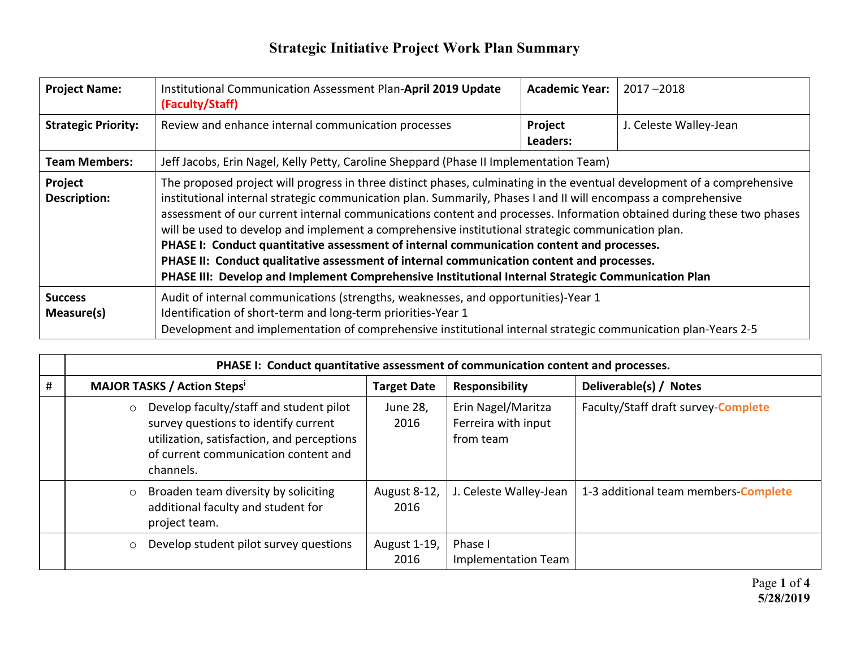| <b>Project Name:</b>           | Institutional Communication Assessment Plan-April 2019 Update<br>(Faculty/Staff)                                                                                                                                                                                                                                                                                                                                                                                                                                                                                                                                                                                                                                                                                        | <b>Academic Year:</b> | $2017 - 2018$          |
|--------------------------------|-------------------------------------------------------------------------------------------------------------------------------------------------------------------------------------------------------------------------------------------------------------------------------------------------------------------------------------------------------------------------------------------------------------------------------------------------------------------------------------------------------------------------------------------------------------------------------------------------------------------------------------------------------------------------------------------------------------------------------------------------------------------------|-----------------------|------------------------|
| <b>Strategic Priority:</b>     | Review and enhance internal communication processes<br>Project<br>Leaders:                                                                                                                                                                                                                                                                                                                                                                                                                                                                                                                                                                                                                                                                                              |                       | J. Celeste Walley-Jean |
| <b>Team Members:</b>           | Jeff Jacobs, Erin Nagel, Kelly Petty, Caroline Sheppard (Phase II Implementation Team)                                                                                                                                                                                                                                                                                                                                                                                                                                                                                                                                                                                                                                                                                  |                       |                        |
| Project<br><b>Description:</b> | The proposed project will progress in three distinct phases, culminating in the eventual development of a comprehensive<br>institutional internal strategic communication plan. Summarily, Phases I and II will encompass a comprehensive<br>assessment of our current internal communications content and processes. Information obtained during these two phases<br>will be used to develop and implement a comprehensive institutional strategic communication plan.<br>PHASE I: Conduct quantitative assessment of internal communication content and processes.<br>PHASE II: Conduct qualitative assessment of internal communication content and processes.<br>PHASE III: Develop and Implement Comprehensive Institutional Internal Strategic Communication Plan |                       |                        |
| <b>Success</b><br>Measure(s)   | Audit of internal communications (strengths, weaknesses, and opportunities)-Year 1<br>Identification of short-term and long-term priorities-Year 1<br>Development and implementation of comprehensive institutional internal strategic communication plan-Years 2-5                                                                                                                                                                                                                                                                                                                                                                                                                                                                                                     |                       |                        |

|   | PHASE I: Conduct quantitative assessment of communication content and processes.                                                                                                              |                      |                                                        |                                      |  |
|---|-----------------------------------------------------------------------------------------------------------------------------------------------------------------------------------------------|----------------------|--------------------------------------------------------|--------------------------------------|--|
| # | <b>MAJOR TASKS / Action Steps'</b>                                                                                                                                                            | <b>Target Date</b>   | <b>Responsibility</b>                                  | Deliverable(s) / Notes               |  |
|   | Develop faculty/staff and student pilot<br>$\circ$<br>survey questions to identify current<br>utilization, satisfaction, and perceptions<br>of current communication content and<br>channels. | June 28,<br>2016     | Erin Nagel/Maritza<br>Ferreira with input<br>from team | Faculty/Staff draft survey-Complete  |  |
|   | Broaden team diversity by soliciting<br>$\circ$<br>additional faculty and student for<br>project team.                                                                                        | August 8-12,<br>2016 | J. Celeste Walley-Jean                                 | 1-3 additional team members-Complete |  |
|   | Develop student pilot survey questions<br>$\circ$                                                                                                                                             | August 1-19,<br>2016 | Phase I<br>Implementation Team                         |                                      |  |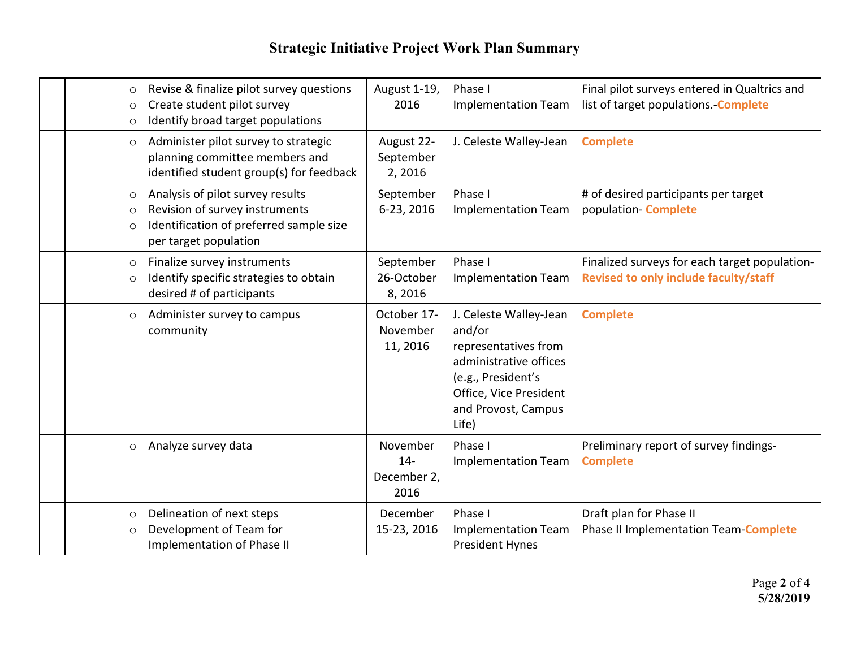| $\circ$<br>$\circ$<br>$\circ$  | Revise & finalize pilot survey questions<br>Create student pilot survey<br>Identify broad target populations                           | August 1-19,<br>2016                     | Phase I<br><b>Implementation Team</b>                                                                                                                              | Final pilot surveys entered in Qualtrics and<br>list of target populations. - Complete |
|--------------------------------|----------------------------------------------------------------------------------------------------------------------------------------|------------------------------------------|--------------------------------------------------------------------------------------------------------------------------------------------------------------------|----------------------------------------------------------------------------------------|
| $\circ$                        | Administer pilot survey to strategic<br>planning committee members and<br>identified student group(s) for feedback                     | August 22-<br>September<br>2,2016        | J. Celeste Walley-Jean                                                                                                                                             | <b>Complete</b>                                                                        |
| $\circ$<br>$\circ$<br>$\circ$  | Analysis of pilot survey results<br>Revision of survey instruments<br>Identification of preferred sample size<br>per target population | September<br>6-23, 2016                  | Phase I<br><b>Implementation Team</b>                                                                                                                              | # of desired participants per target<br>population-Complete                            |
| $\circ$<br>$\circ$             | Finalize survey instruments<br>Identify specific strategies to obtain<br>desired # of participants                                     | September<br>26-October<br>8,2016        | Phase I<br><b>Implementation Team</b>                                                                                                                              | Finalized surveys for each target population-<br>Revised to only include faculty/staff |
| $\circ$                        | Administer survey to campus<br>community                                                                                               | October 17-<br>November<br>11, 2016      | J. Celeste Walley-Jean<br>and/or<br>representatives from<br>administrative offices<br>(e.g., President's<br>Office, Vice President<br>and Provost, Campus<br>Life) | <b>Complete</b>                                                                        |
| $\circ$                        | Analyze survey data                                                                                                                    | November<br>$14-$<br>December 2,<br>2016 | Phase I<br><b>Implementation Team</b>                                                                                                                              | Preliminary report of survey findings-<br><b>Complete</b>                              |
| $\circlearrowright$<br>$\circ$ | Delineation of next steps<br>Development of Team for<br>Implementation of Phase II                                                     | December<br>15-23, 2016                  | Phase I<br><b>Implementation Team</b><br><b>President Hynes</b>                                                                                                    | Draft plan for Phase II<br>Phase II Implementation Team Complete                       |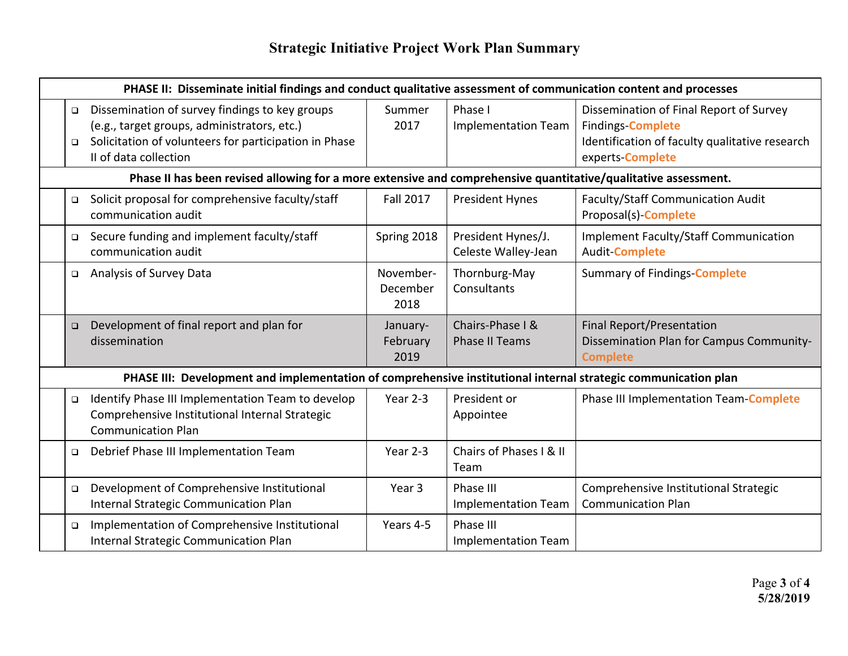|                  | PHASE II: Disseminate initial findings and conduct qualitative assessment of communication content and processes                                                                |                               |                                           |                                                                                                                                           |  |  |
|------------------|---------------------------------------------------------------------------------------------------------------------------------------------------------------------------------|-------------------------------|-------------------------------------------|-------------------------------------------------------------------------------------------------------------------------------------------|--|--|
| $\Box$<br>$\Box$ | Dissemination of survey findings to key groups<br>(e.g., target groups, administrators, etc.)<br>Solicitation of volunteers for participation in Phase<br>II of data collection | Summer<br>2017                | Phase I<br><b>Implementation Team</b>     | Dissemination of Final Report of Survey<br><b>Findings-Complete</b><br>Identification of faculty qualitative research<br>experts-Complete |  |  |
|                  | Phase II has been revised allowing for a more extensive and comprehensive quantitative/qualitative assessment.                                                                  |                               |                                           |                                                                                                                                           |  |  |
| $\Box$           | Solicit proposal for comprehensive faculty/staff<br>communication audit                                                                                                         | <b>Fall 2017</b>              | <b>President Hynes</b>                    | Faculty/Staff Communication Audit<br>Proposal(s)-Complete                                                                                 |  |  |
| $\Box$           | Secure funding and implement faculty/staff<br>communication audit                                                                                                               | Spring 2018                   | President Hynes/J.<br>Celeste Walley-Jean | <b>Implement Faculty/Staff Communication</b><br><b>Audit-Complete</b>                                                                     |  |  |
| $\Box$           | Analysis of Survey Data                                                                                                                                                         | November-<br>December<br>2018 | Thornburg-May<br>Consultants              | <b>Summary of Findings-Complete</b>                                                                                                       |  |  |
| $\Box$           | Development of final report and plan for<br>dissemination                                                                                                                       | January-<br>February<br>2019  | Chairs-Phase I &<br><b>Phase II Teams</b> | <b>Final Report/Presentation</b><br>Dissemination Plan for Campus Community-<br><b>Complete</b>                                           |  |  |
|                  | PHASE III: Development and implementation of comprehensive institutional internal strategic communication plan                                                                  |                               |                                           |                                                                                                                                           |  |  |
| $\Box$           | Identify Phase III Implementation Team to develop<br>Comprehensive Institutional Internal Strategic<br><b>Communication Plan</b>                                                | Year 2-3                      | President or<br>Appointee                 | <b>Phase III Implementation Team-Complete</b>                                                                                             |  |  |
| $\Box$           | Debrief Phase III Implementation Team                                                                                                                                           | Year 2-3                      | Chairs of Phases   & II<br>Team           |                                                                                                                                           |  |  |
| $\Box$           | Development of Comprehensive Institutional<br>Internal Strategic Communication Plan                                                                                             | Year 3                        | Phase III<br><b>Implementation Team</b>   | Comprehensive Institutional Strategic<br><b>Communication Plan</b>                                                                        |  |  |
| $\Box$           | Implementation of Comprehensive Institutional<br>Internal Strategic Communication Plan                                                                                          | Years 4-5                     | Phase III<br><b>Implementation Team</b>   |                                                                                                                                           |  |  |